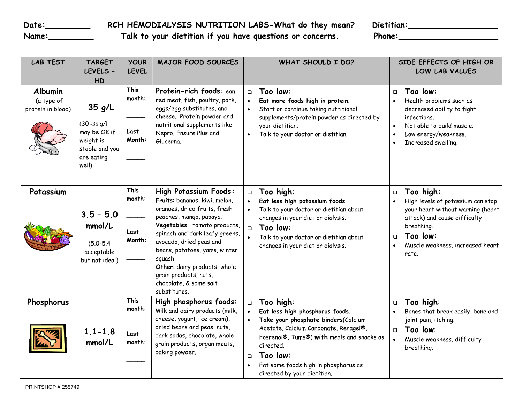Date:\_\_\_\_\_\_\_\_\_\_\_\_\_\_\_\_\_\_RCH HEMODIALYSIS NUTRITION LABS-What do they mean? Dietitian:\_\_\_\_\_\_\_\_\_\_\_\_\_\_\_\_\_\_\_\_\_\_\_\_\_\_

Name:\_\_\_\_\_\_\_\_\_\_\_\_\_\_\_\_\_ Talk to your dietitian if you have questions or concerns. Phone:\_\_\_\_\_\_\_\_\_\_\_\_\_\_\_\_\_\_\_\_\_\_

| <b>LAB TEST</b>                                   | <b>TARGET</b><br>LEVELS -<br>HD                                                                   | <b>YOUR</b><br><b>LEVEL</b>             | <b>MAJOR FOOD SOURCES</b>                                                                                                                                                                                                                                                                                                                                     | <b>WHAT SHOULD I DO?</b>                                                                                                                                                                                                                                                                                    | SIDE EFFECTS OF HIGH OR<br>LOW LAB VALUES                                                                                                                                                                      |
|---------------------------------------------------|---------------------------------------------------------------------------------------------------|-----------------------------------------|---------------------------------------------------------------------------------------------------------------------------------------------------------------------------------------------------------------------------------------------------------------------------------------------------------------------------------------------------------------|-------------------------------------------------------------------------------------------------------------------------------------------------------------------------------------------------------------------------------------------------------------------------------------------------------------|----------------------------------------------------------------------------------------------------------------------------------------------------------------------------------------------------------------|
| <b>Albumin</b><br>(a type of<br>protein in blood) | $35$ g/L<br>$(30 - 35)$ g/l<br>may be OK if<br>weight is<br>stable and you<br>are eating<br>well) | <b>This</b><br>month:<br>Last<br>Month: | Protein-rich foods: lean<br>red meat, fish, poultry, pork,<br>eggs/egg substitutes, and<br>cheese. Protein powder and<br>nutritional supplements like<br>Nepro, Ensure Plus and<br>Glucerna.                                                                                                                                                                  | Too low:<br>$\Box$<br>Eat more foods high in protein.<br>$\bullet$<br>Start or continue taking nutritional<br>supplements/protein powder as directed by<br>your dietitian.<br>Talk to your doctor or dietitian.<br>$\bullet$                                                                                | Too low:<br>$\Box$<br>Health problems such as<br>decreased ability to fight<br>infections.<br>Not able to build muscle.<br>$\bullet$<br>Low energy/weakness.<br>$\bullet$<br>Increased swelling.               |
| Potassium                                         | $3.5 - 5.0$<br>mmol/L<br>$(5.0 - 5.4)$<br>acceptable<br>but not ideal)                            | <b>This</b><br>month:<br>Last<br>Month: | High Potassium Foods:<br>Fruits: bananas, kiwi, melon,<br>oranges, dried fruits, fresh<br>peaches, mango, papaya.<br>Vegetables: tomato products,<br>spinach and dark leafy greens,<br>avocado, dried peas and<br>beans, potatoes, yams, winter<br>squash.<br>Other: dairy products, whole<br>grain products, nuts,<br>chocolate, & some salt<br>substitutes. | Too high:<br>$\Box$<br>Eat less high potassium foods.<br>Talk to your doctor or dietitian about<br>changes in your diet or dialysis.<br>$\Box$<br>Too low:<br>Talk to your doctor or dietitian about<br>changes in your diet or dialysis.                                                                   | Too high:<br>$\Box$<br>High levels of potassium can stop<br>your heart without warning (heart<br>attack) and cause difficulty<br>breathing.<br>Too low:<br>$\Box$<br>Muscle weakness, increased heart<br>rate. |
| Phosphorus                                        | $1.1 - 1.8$<br>mmol/L                                                                             | <b>This</b><br>month:<br>Last<br>month: | High phosphorus foods:<br>Milk and dairy products (milk,<br>cheese, yogurt, ice cream),<br>dried beans and peas, nuts,<br>dark sodas, chocolate, whole<br>grain products, organ meats,<br>baking powder.                                                                                                                                                      | Too high:<br>$\Box$<br>Eat less high phosphorus foods.<br>$\bullet$<br>Take your phosphate binders(Calcium<br>Acetate, Calcium Carbonate, Renagel®,<br>Fosrenol®, Tums®) with meals and snacks as<br>directed.<br>Too low:<br>$\Box$<br>Eat some foods high in phosphorus as<br>directed by your dietitian. | Too high:<br>$\Box$<br>Bones that break easily, bone and<br>joint pain, itching.<br>Too low:<br>$\Box$<br>Muscle weakness, difficulty<br>breathing.                                                            |